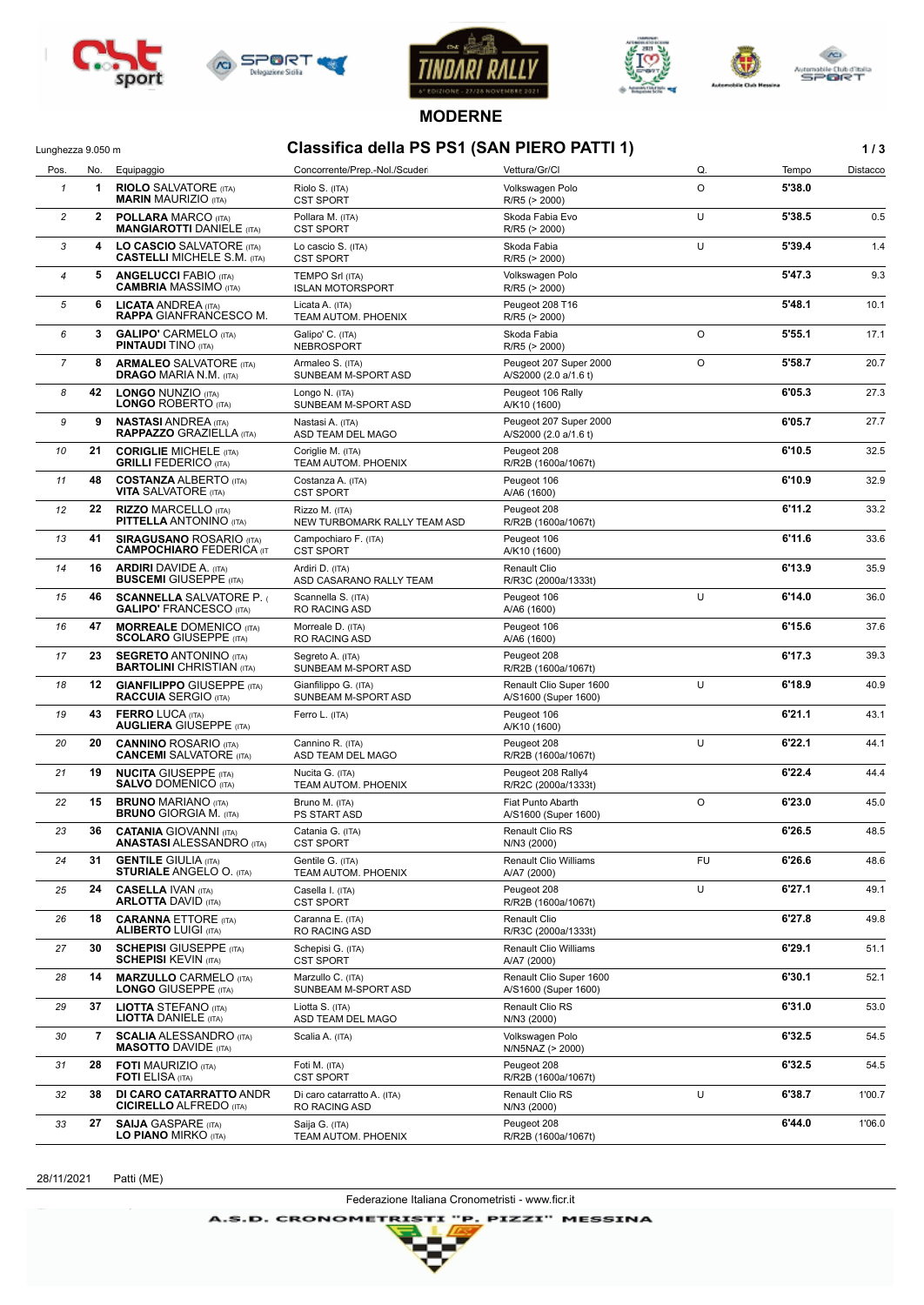









**MODERNE**

## Lunghezza 9.050 m **Classifica della PS PS1 (SAN PIERO PATTI 1) 1 / 3**

| Pos.           | No.          | Equipaggio                                                                           | Concorrente/Prep.-Nol./Scuder                          | Vettura/Gr/Cl                                     | Q.      | Tempo  | Distacco |
|----------------|--------------|--------------------------------------------------------------------------------------|--------------------------------------------------------|---------------------------------------------------|---------|--------|----------|
| $\mathbf{1}$   | 1            | <b>RIOLO</b> SALVATORE (ITA)<br><b>MARIN MAURIZIO (ITA)</b>                          | Riolo S. (ITA)<br><b>CST SPORT</b>                     | Volkswagen Polo<br>R/R5 (> 2000)                  | O       | 5'38.0 |          |
| $\overline{c}$ | $\mathbf{2}$ | <b>POLLARA MARCO (ITA)</b><br><b>MANGIAROTTI DANIELE (ITA)</b>                       | Pollara M. (ITA)<br><b>CST SPORT</b>                   | Skoda Fabia Evo<br>R/R5 (> 2000)                  | U       | 5'38.5 | 0.5      |
| 3              | 4            | LO CASCIO SALVATORE (ITA)<br><b>CASTELLI MICHELE S.M. (ITA)</b>                      | Lo cascio S. (ITA)<br><b>CST SPORT</b>                 | Skoda Fabia<br>$R/R5$ ( $> 2000$ )                | U       | 5'39.4 | 1.4      |
| $\overline{4}$ | 5            | <b>ANGELUCCI FABIO (ITA)</b><br><b>CAMBRIA MASSIMO (ITA)</b>                         | <b>TEMPO Srl (ITA)</b><br><b>ISLAN MOTORSPORT</b>      | Volkswagen Polo<br>R/R5 (> 2000)                  |         | 5'47.3 | 9.3      |
| 5              | 6            | <b>LICATA ANDREA (ITA)</b><br><b>RAPPA GIANFRANCESCO M.</b>                          | Licata A. (ITA)<br>TEAM AUTOM. PHOENIX                 | Peugeot 208 T16<br>R/R5 (> 2000)                  |         | 5'48.1 | 10.1     |
| 6              | 3            | <b>GALIPO' CARMELO (ITA)</b><br><b>PINTAUDI TINO (ITA)</b>                           | Galipo' C. (ITA)<br><b>NEBROSPORT</b>                  | Skoda Fabia<br>R/R5 (> 2000)                      | O       | 5'55.1 | 17.1     |
| 7              | 8            | <b>ARMALEO SALVATORE (ITA)</b><br><b>DRAGO MARIA N.M. (ITA)</b>                      | Armaleo S. (ITA)<br>SUNBEAM M-SPORT ASD                | Peugeot 207 Super 2000<br>A/S2000 (2.0 a/1.6 t)   | O       | 5'58.7 | 20.7     |
| 8              | 42           | <b>LONGO NUNZIO (ITA)</b><br><b>LONGO ROBERTO (ITA)</b>                              | Longo N. (ITA)<br>SUNBEAM M-SPORT ASD                  | Peugeot 106 Rally<br>A/K10 (1600)                 |         | 6'05.3 | 27.3     |
| 9              | 9            | <b>NASTASI ANDREA (ITA)</b><br><b>RAPPAZZO GRAZIELLA (ITA)</b>                       | Nastasi A. (ITA)<br>ASD TEAM DEL MAGO                  | Peugeot 207 Super 2000<br>A/S2000 (2.0 a/1.6 t)   |         | 6'05.7 | 27.7     |
| 10             | 21           | <b>CORIGLIE MICHELE (ITA)</b><br><b>GRILLI FEDERICO (ITA)</b>                        | Coriglie M. (ITA)<br>TEAM AUTOM. PHOENIX               | Peugeot 208<br>R/R2B (1600a/1067t)                |         | 6'10.5 | 32.5     |
| 11             | 48           | <b>COSTANZA ALBERTO (ITA)</b><br><b>VITA SALVATORE</b> (ITA)                         | Costanza A. (ITA)<br><b>CST SPORT</b>                  | Peugeot 106<br>A/A6 (1600)                        |         | 6'10.9 | 32.9     |
| 12             | 22           | <b>RIZZO MARCELLO (ITA)</b><br><b>PITTELLA ANTONINO (ITA)</b>                        | Rizzo M. (ITA)<br>NEW TURBOMARK RALLY TEAM ASD         | Peugeot 208<br>R/R2B (1600a/1067t)                |         | 6'11.2 | 33.2     |
| 13             | 41           | <b>SIRAGUSANO ROSARIO (ITA)</b><br><b>CAMPOCHIARO FEDERICA (IT</b>                   | Campochiaro F. (ITA)<br><b>CST SPORT</b>               | Peugeot 106<br>A/K10 (1600)                       |         | 6'11.6 | 33.6     |
| 14             | 16           | <b>ARDIRI DAVIDE A. (ITA)</b><br><b>BUSCEMI</b> GIUSEPPE (ITA)                       | Ardiri D. (ITA)<br>ASD CASARANO RALLY TEAM             | <b>Renault Clio</b><br>R/R3C (2000a/1333t)        |         | 6'13.9 | 35.9     |
| 15             | 46           | <b>SCANNELLA SALVATORE P. (</b><br><b>GALIPO' FRANCESCO (ITA)</b>                    | Scannella S. (ITA)<br>RO RACING ASD                    | Peugeot 106<br>A/A6 (1600)                        | U       | 6'14.0 | 36.0     |
| 16             | 47           | <b>MORREALE DOMENICO (ITA)</b><br><b>SCOLARO</b> GIUSEPPE (ITA)                      | Morreale D. (ITA)<br>RO RACING ASD                     | Peugeot 106<br>A/A6 (1600)                        |         | 6'15.6 | 37.6     |
| 17             | 23           | <b>SEGRETO ANTONINO (ITA)</b><br><b>BARTOLINI CHRISTIAN (ITA)</b>                    | Segreto A. (ITA)<br>SUNBEAM M-SPORT ASD                | Peugeot 208<br>R/R2B (1600a/1067t)                |         | 6'17.3 | 39.3     |
| 18             | 12           | <b>GIANFILIPPO GIUSEPPE (ITA)</b><br><b>RACCUIA</b> SERGIO (ITA)                     | Gianfilippo G. (ITA)<br>SUNBEAM M-SPORT ASD            | Renault Clio Super 1600<br>A/S1600 (Super 1600)   | U       | 6'18.9 | 40.9     |
| 19             | 43           | <b>FERRO LUCA (ITA)</b><br><b>AUGLIERA GIUSEPPE (ITA)</b>                            | Ferro L. (ITA)                                         | Peugeot 106<br>A/K10 (1600)                       |         | 6'21.1 | 43.1     |
| 20             | 20           | <b>CANNINO ROSARIO (ITA)</b><br><b>CANCEMI</b> SALVATORE (ITA)                       | Cannino R. (ITA)<br>ASD TEAM DEL MAGO                  | Peugeot 208<br>R/R2B (1600a/1067t)                | U       | 6'22.1 | 44.1     |
| 21             | 19           | <b>NUCITA GIUSEPPE (ITA)</b><br><b>SALVO DOMENICO (ITA)</b>                          | Nucita G. (ITA)<br>TEAM AUTOM. PHOENIX                 | Peugeot 208 Rally4<br>R/R2C (2000a/1333t)         |         | 6'22.4 | 44.4     |
| 22             | 15           | <b>BRUNO MARIANO (ITA)</b><br><b>BRUNO GIORGIA M. (ITA)</b>                          | Bruno M. (ITA)<br><b>PS START ASD</b>                  | Fiat Punto Abarth<br>A/S1600 (Super 1600)         | $\circ$ | 6'23.0 | 45.0     |
| 23             | 36           | <b>CATANIA GIOVANNI (ITA)</b><br><b>ANASTASI ALESSANDRO</b> (ITA)                    | Catania G. (ITA)<br><b>CST SPORT</b>                   | Renault Clio RS<br>N/N3 (2000)                    |         | 6'26.5 | 48.5     |
| 24             | 31           | <b>GENTILE GIULIA (ITA)</b><br><b>STURIALE ANGELO O. (ITA)</b>                       | Gentile G. (ITA)<br>TEAM AUTOM. PHOENIX                | <b>Renault Clio Williams</b><br>A/A7 (2000)       | FU      | 6'26.6 | 48.6     |
| 25             | 24           | <b>CASELLA IVAN (ITA)</b><br><b>ARLOTTA DAVID (ITA)</b>                              | Casella I. (ITA)<br><b>CST SPORT</b>                   | Peugeot 208<br>R/R2B (1600a/1067t)                | U       | 6'27.1 | 49.1     |
| 26             | 18           | <b>CARANNA ETTORE (ITA)</b><br><b>ALIBERTO LUIGI (ITA)</b>                           | Caranna E. (ITA)<br>RO RACING ASD                      | Renault Clio<br>R/R3C (2000a/1333t)               |         | 6'27.8 | 49.8     |
| 27             | 30           | <b>SCHEPISI GIUSEPPE (ITA)</b><br><b>SCHEPISI KEVIN (ITA)</b>                        | Schepisi G. (ITA)<br><b>CST SPORT</b>                  | <b>Renault Clio Williams</b><br>A/A7 (2000)       |         | 6'29.1 | 51.1     |
| 28             | 14           | <b>MARZULLO CARMELO (ITA)</b><br><b>LONGO GIUSEPPE (ITA)</b>                         | Marzullo C. (ITA)<br>SUNBEAM M-SPORT ASD               | Renault Clio Super 1600<br>A/S1600 (Super 1600)   |         | 6'30.1 | 52.1     |
| 29             | 37           | <b>LIOTTA STEFANO (ITA)</b><br><b>LIOTTA DANIELE</b> (ITA)                           | Liotta S. (ITA)<br>ASD TEAM DEL MAGO                   | Renault Clio RS<br>N/N3 (2000)                    |         | 6'31.0 | 53.0     |
| 30             | 7            | <b>SCALIA ALESSANDRO (ITA)</b><br><b>MASOTTO DAVIDE (ITA)</b>                        | Scalia A. (ITA)                                        | Volkswagen Polo<br>N/N5NAZ (> 2000)               |         | 6'32.5 | 54.5     |
| 31             | 28           | <b>FOTI MAURIZIO (ITA)</b><br><b>FOTI</b> ELISA (ITA)                                | Foti M. (ITA)                                          | Peugeot 208                                       |         | 6'32.5 | 54.5     |
| 32             | 38           | DI CARO CATARRATTO ANDR                                                              | <b>CST SPORT</b><br>Di caro catarratto A. (ITA)        | R/R2B (1600a/1067t)<br>Renault Clio RS            | U       | 6'38.7 | 1'00.7   |
| 33             | 27           | <b>CICIRELLO ALFREDO (ITA)</b><br><b>SAIJA GASPARE (ITA)</b><br>LO PIANO MIRKO (ITA) | RO RACING ASD<br>Saija G. (ITA)<br>TEAM AUTOM. PHOENIX | N/N3 (2000)<br>Peugeot 208<br>R/R2B (1600a/1067t) |         | 6'44.0 | 1'06.0   |

28/11/2021 Patti (ME)

Federazione Italiana Cronometristi - www.ficr.it

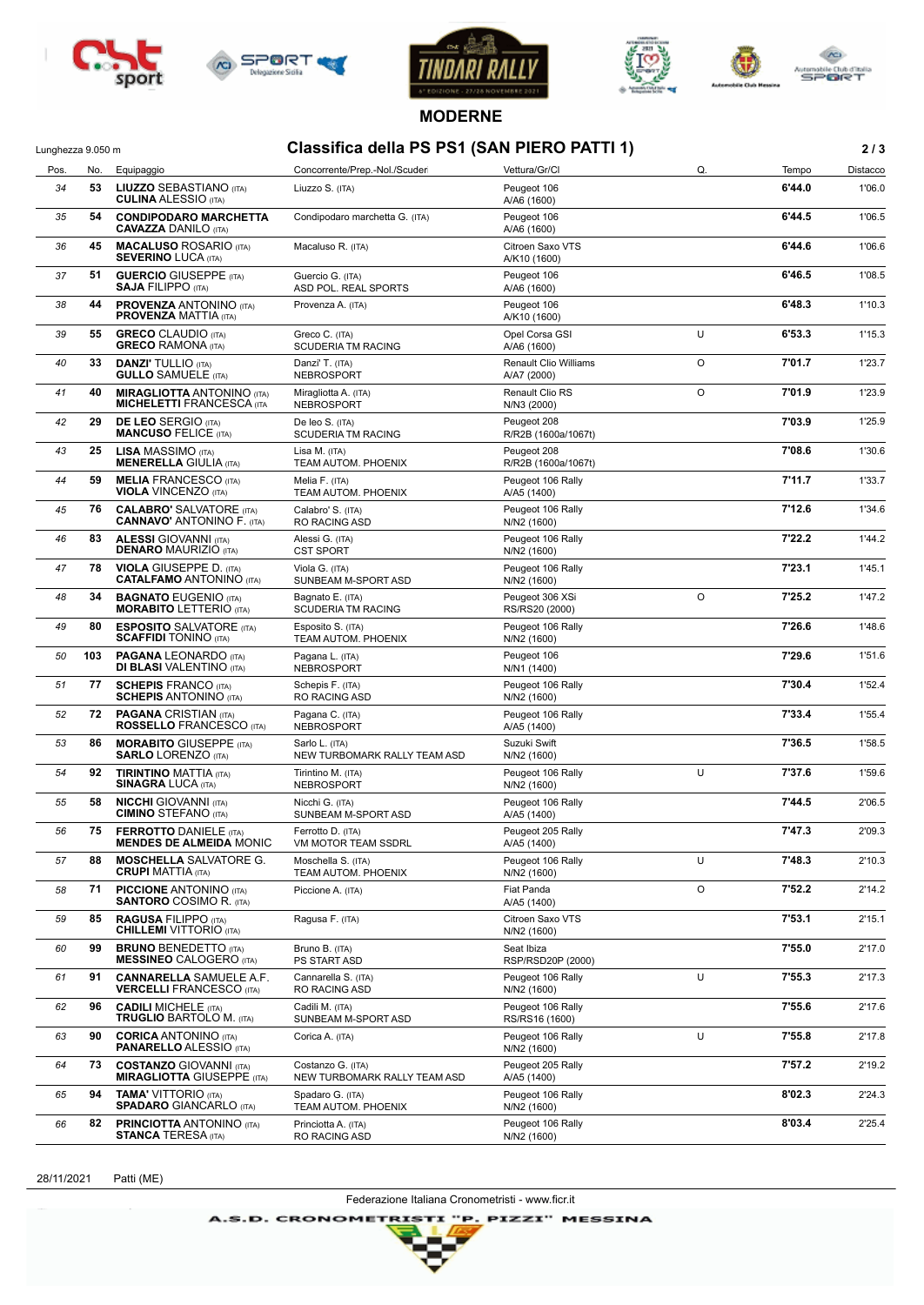







**MODERNE**

## Lunghezza 9.050 m **Classifica della PS PS1 (SAN PIERO PATTI 1) 2 / 3**

| Pos. | No. | Equipaggio                                                            | Concorrente/Prep.-Nol./Scuder                     | Vettura/Gr/Cl                               | Q.      | Tempo  | Distacco |
|------|-----|-----------------------------------------------------------------------|---------------------------------------------------|---------------------------------------------|---------|--------|----------|
| 34   | 53  | <b>LIUZZO SEBASTIANO (ITA)</b><br><b>CULINA ALESSIO (ITA)</b>         | Liuzzo S. (ITA)                                   | Peugeot 106<br>A/A6 (1600)                  |         | 6'44.0 | 1'06.0   |
| 35   | 54  | <b>CONDIPODARO MARCHETTA</b><br><b>CAVAZZA DANILO (ITA)</b>           | Condipodaro marchetta G. (ITA)                    | Peugeot 106<br>A/A6 (1600)                  |         | 6'44.5 | 1'06.5   |
| 36   | 45  | <b>MACALUSO ROSARIO (ITA)</b><br><b>SEVERINO LUCA (ITA)</b>           | Macaluso R. (ITA)                                 | Citroen Saxo VTS<br>A/K10 (1600)            |         | 6'44.6 | 1'06.6   |
| 37   | 51  | <b>GUERCIO</b> GIUSEPPE (ITA)<br><b>SAJA FILIPPO (ITA)</b>            | Guercio G. (ITA)<br>ASD POL. REAL SPORTS          | Peugeot 106<br>A/A6 (1600)                  |         | 6'46.5 | 1'08.5   |
| 38   | 44  | <b>PROVENZA ANTONINO (ITA)</b><br><b>PROVENZA MATTIA (ITA)</b>        | Provenza A. (ITA)                                 | Peugeot 106<br>A/K10 (1600)                 |         | 6'48.3 | 1'10.3   |
| 39   | 55  | <b>GRECO CLAUDIO (ITA)</b><br><b>GRECO RAMONA</b> (ITA)               | Greco C. (ITA)<br><b>SCUDERIA TM RACING</b>       | Opel Corsa GSI<br>A/A6 (1600)               | U       | 6'53.3 | 1'15.3   |
| 40   | 33  | <b>DANZI' TULLIO</b> (ITA)<br><b>GULLO SAMUELE</b> (ITA)              | Danzi' T. (ITA)<br><b>NEBROSPORT</b>              | <b>Renault Clio Williams</b><br>A/A7 (2000) | O       | 7'01.7 | 1'23.7   |
| 41   | 40  | <b>MIRAGLIOTTA ANTONINO (ITA)</b><br><b>MICHELETTI FRANCESCA (ITA</b> | Miragliotta A. (ITA)<br>NEBROSPORT                | <b>Renault Clio RS</b><br>N/N3 (2000)       | $\circ$ | 7'01.9 | 1'23.9   |
| 42   | 29  | <b>DE LEO SERGIO (ITA)</b><br><b>MANCUSO FELICE (ITA)</b>             | De leo S. (ITA)<br><b>SCUDERIA TM RACING</b>      | Peugeot 208<br>R/R2B (1600a/1067t)          |         | 7'03.9 | 1'25.9   |
| 43   | 25  | <b>LISA MASSIMO (ITA)</b><br><b>MENERELLA GIULIA (ITA)</b>            | Lisa M. (ITA)<br>TEAM AUTOM. PHOENIX              | Peugeot 208<br>R/R2B (1600a/1067t)          |         | 7'08.6 | 1'30.6   |
| 44   | 59  | <b>MELIA FRANCESCO (ITA)</b><br><b>VIOLA VINCENZO (ITA)</b>           | Melia F. (ITA)<br>TEAM AUTOM. PHOENIX             | Peugeot 106 Rally<br>A/A5 (1400)            |         | 7'11.7 | 1'33.7   |
| 45   | 76  | <b>CALABRO' SALVATORE (ITA)</b><br><b>CANNAVO' ANTONINO F. (ITA)</b>  | Calabro' S. (ITA)<br>RO RACING ASD                | Peugeot 106 Rally<br>N/N2 (1600)            |         | 7'12.6 | 1'34.6   |
| 46   | 83  | <b>ALESSI</b> GIOVANNI (ITA)<br><b>DENARO MAURIZIO (ITA)</b>          | Alessi G. (ITA)<br><b>CST SPORT</b>               | Peugeot 106 Rally<br>N/N2 (1600)            |         | 7'22.2 | 1'44.2   |
| 47   | 78  | <b>VIOLA GIUSEPPE D. (ITA)</b><br><b>CATALFAMO ANTONINO (ITA)</b>     | Viola G. (ITA)<br>SUNBEAM M-SPORT ASD             | Peugeot 106 Rally<br>N/N2 (1600)            |         | 7'23.1 | 1'45.1   |
| 48   | 34  | <b>BAGNATO EUGENIO (ITA)</b><br><b>MORABITO LETTERIO (ITA)</b>        | Bagnato E. (ITA)<br><b>SCUDERIA TM RACING</b>     | Peugeot 306 XSi<br>RS/RS20 (2000)           | $\circ$ | 7'25.2 | 1'47.2   |
| 49   | 80  | <b>ESPOSITO SALVATORE (ITA)</b><br><b>SCAFFIDI</b> TONINO (ITA)       | Esposito S. (ITA)<br>TEAM AUTOM. PHOENIX          | Peugeot 106 Rally<br>N/N2 (1600)            |         | 7'26.6 | 1'48.6   |
| 50   | 103 | <b>PAGANA LEONARDO (ITA)</b><br><b>DI BLASI VALENTINO (ITA)</b>       | Pagana L. (ITA)<br><b>NEBROSPORT</b>              | Peugeot 106<br>N/N1 (1400)                  |         | 7'29.6 | 1'51.6   |
| 51   | 77  | <b>SCHEPIS FRANCO (ITA)</b><br><b>SCHEPIS ANTONINO (ITA)</b>          | Schepis F. (ITA)<br>RO RACING ASD                 | Peugeot 106 Rally<br>N/N2 (1600)            |         | 7'30.4 | 1'52.4   |
| 52   | 72  | <b>PAGANA CRISTIAN (ITA)</b><br><b>ROSSELLO FRANCESCO (ITA)</b>       | Pagana C. (ITA)<br><b>NEBROSPORT</b>              | Peugeot 106 Rally<br>A/A5 (1400)            |         | 7'33.4 | 1'55.4   |
| 53   | 86  | <b>MORABITO GIUSEPPE (ITA)</b><br><b>SARLO LORENZO (ITA)</b>          | Sarlo L. (ITA)<br>NEW TURBOMARK RALLY TEAM ASD    | Suzuki Swift<br>N/N2 (1600)                 |         | 7'36.5 | 1'58.5   |
| 54   | 92  | <b>TIRINTINO MATTIA (ITA)</b><br><b>SINAGRA LUCA (ITA)</b>            | Tirintino M. (ITA)<br>NEBROSPORT                  | Peugeot 106 Rally<br>N/N2 (1600)            | U       | 7'37.6 | 1'59.6   |
| 55   | 58  | <b>NICCHI</b> GIOVANNI (ITA)<br><b>CIMINO STEFANO (ITA)</b>           | Nicchi G. (ITA)<br>SUNBEAM M-SPORT ASD            | Peugeot 106 Rally<br>A/A5 (1400)            |         | 7'44.5 | 2'06.5   |
| 56   | 75  | <b>FERROTTO DANIELE (ITA)</b><br><b>MENDES DE ALMEIDA MONIC</b>       | Ferrotto D. (ITA)<br>VM MOTOR TEAM SSDRL          | Peugeot 205 Rally<br>A/A5 (1400)            |         | 7'47.3 | 2'09.3   |
| 57   | 88  | <b>MOSCHELLA SALVATORE G.</b><br><b>CRUPI MATTIA (ITA)</b>            | Moschella S. (ITA)<br>TEAM AUTOM. PHOENIX         | Peugeot 106 Rally<br>N/N2 (1600)            | U       | 7'48.3 | 2'10.3   |
| 58   | 71  | <b>PICCIONE ANTONINO (ITA)</b><br><b>SANTORO</b> COSIMO R. (ITA)      | Piccione A. (ITA)                                 | Fiat Panda<br>A/A5 (1400)                   | O       | 7'52.2 | 2'14.2   |
| 59   | 85  | <b>RAGUSA FILIPPO (ITA)</b><br><b>CHILLEMI</b> VITTORIO (ITA)         | Ragusa F. (ITA)                                   | Citroen Saxo VTS<br>N/N2 (1600)             |         | 7'53.1 | 2'15.1   |
| 60   | 99  | <b>BRUNO BENEDETTO (ITA)</b><br><b>MESSINEO CALOGERO (ITA)</b>        | Bruno B. (ITA)<br>PS START ASD                    | Seat Ibiza<br>RSP/RSD20P (2000)             |         | 7'55.0 | 2'17.0   |
| 61   | 91  | <b>CANNARELLA SAMUELE A.F.</b><br><b>VERCELLI FRANCESCO (ITA)</b>     | Cannarella S. (ITA)<br>RO RACING ASD              | Peugeot 106 Rally<br>N/N2 (1600)            | U       | 7'55.3 | 2'17.3   |
| 62   | 96  | <b>CADILI MICHELE</b> (ITA)<br><b>TRUGLIO BARTOLO M. (ITA)</b>        | Cadili M. (ITA)<br>SUNBEAM M-SPORT ASD            | Peugeot 106 Rally<br>RS/RS16 (1600)         |         | 7'55.6 | 2'17.6   |
| 63   | 90  | <b>CORICA ANTONINO (ITA)</b><br><b>PANARELLO ALESSIO (ITA)</b>        | Corica A. (ITA)                                   | Peugeot 106 Rally<br>N/N2 (1600)            | U       | 7'55.8 | 2'17.8   |
| 64   | 73  | <b>COSTANZO GIOVANNI (ITA)</b><br><b>MIRAGLIOTTA GIUSEPPE (ITA)</b>   | Costanzo G. (ITA)<br>NEW TURBOMARK RALLY TEAM ASD | Peugeot 205 Rally<br>A/A5 (1400)            |         | 7'57.2 | 2'19.2   |
| 65   | 94  | <b>TAMA' VITTORIO (ITA)</b><br><b>SPADARO</b> GIANCARLO (ITA)         | Spadaro G. (ITA)<br>TEAM AUTOM. PHOENIX           | Peugeot 106 Rally<br>N/N2 (1600)            |         | 8'02.3 | 2'24.3   |
| 66   | 82  | <b>PRINCIOTTA ANTONINO (ITA)</b><br><b>STANCA TERESA (ITA)</b>        | Princiotta A. (ITA)<br>RO RACING ASD              | Peugeot 106 Rally<br>N/N2 (1600)            |         | 8'03.4 | 2'25.4   |

28/11/2021 Patti (ME)

Federazione Italiana Cronometristi - www.ficr.it

**A.S.D. CRONOMETRISTI** "P. PIZZI" MESSINA